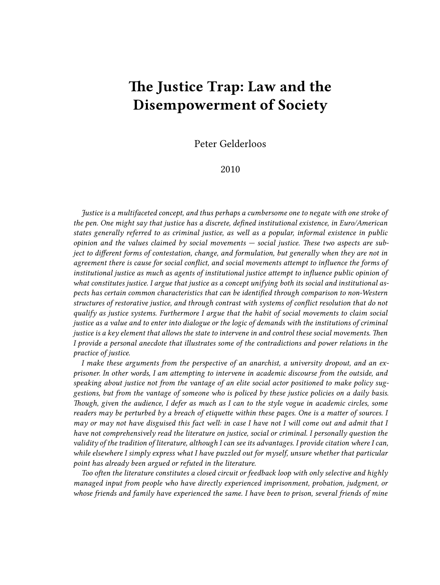## **The Justice Trap: Law and the Disempowerment of Society**

Peter Gelderloos

2010

*Justice is a multifaceted concept, and thus perhaps a cumbersome one to negate with one stroke of the pen. One might say that justice has a discrete, defined institutional existence, in Euro/American states generally referred to as criminal justice, as well as a popular, informal existence in public opinion and the values claimed by social movements — social justice. These two aspects are subject to different forms of contestation, change, and formulation, but generally when they are not in agreement there is cause for social conflict, and social movements attempt to influence the forms of institutional justice as much as agents of institutional justice attempt to influence public opinion of what constitutes justice. I argue that justice as a concept unifying both its social and institutional aspects has certain common characteristics that can be identified through comparison to non-Western structures of restorative justice, and through contrast with systems of conflict resolution that do not qualify as justice systems. Furthermore I argue that the habit of social movements to claim social justice as a value and to enter into dialogue or the logic of demands with the institutions of criminal justice is a key element that allows the state to intervene in and control these social movements. Then I provide a personal anecdote that illustrates some of the contradictions and power relations in the practice of justice.*

*I make these arguments from the perspective of an anarchist, a university dropout, and an exprisoner. In other words, I am attempting to intervene in academic discourse from the outside, and speaking about justice not from the vantage of an elite social actor positioned to make policy suggestions, but from the vantage of someone who is policed by these justice policies on a daily basis. Though, given the audience, I defer as much as I can to the style vogue in academic circles, some readers may be perturbed by a breach of etiquette within these pages. One is a matter of sources. I may or may not have disguised this fact well: in case I have not I will come out and admit that I have not comprehensively read the literature on justice, social or criminal. I personally question the validity of the tradition of literature, although I can see its advantages. I provide citation where I can, while elsewhere I simply express what I have puzzled out for myself, unsure whether that particular point has already been argued or refuted in the literature.*

*Too often the literature constitutes a closed circuit or feedback loop with only selective and highly managed input from people who have directly experienced imprisonment, probation, judgment, or whose friends and family have experienced the same. I have been to prison, several friends of mine*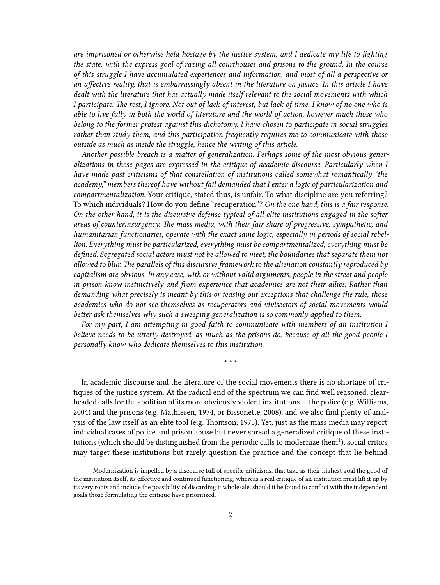*are imprisoned or otherwise held hostage by the justice system, and I dedicate my life to fighting the state, with the express goal of razing all courthouses and prisons to the ground. In the course of this struggle I have accumulated experiences and information, and most of all a perspective or an affective reality, that is embarrassingly absent in the literature on justice. In this article I have dealt with the literature that has actually made itself relevant to the social movements with which I participate. The rest, I ignore. Not out of lack of interest, but lack of time. I know of no one who is able to live fully in both the world of literature and the world of action, however much those who belong to the former protest against this dichotomy. I have chosen to participate in social struggles rather than study them, and this participation frequently requires me to communicate with those outside as much as inside the struggle, hence the writing of this article.*

*Another possible breach is a matter of generalization. Perhaps some of the most obvious generalizations in these pages are expressed in the critique of academic discourse. Particularly when I have made past criticisms of that constellation of institutions called somewhat romantically "the academy," members thereof have without fail demanded that I enter a logic of particularization and compartmentalization.* Your critique, stated thus, is unfair. To what discipline are you referring? To which individuals? How do you define "recuperation"? *On the one hand, this is a fair response. On the other hand, it is the discursive defense typical of all elite institutions engaged in the softer areas of counterinsurgency. The mass media, with their fair share of progressive, sympathetic, and humanitarian functionaries, operate with the exact same logic, especially in periods of social rebellion. Everything must be particularized, everything must be compartmentalized, everything must be defined. Segregated social actors must not be allowed to meet, the boundaries that separate them not allowed to blur. The parallels of this discursive framework to the alienation constantly reproduced by capitalism are obvious. In any case, with or without valid arguments, people in the street and people in prison know instinctively and from experience that academics are not their allies. Rather than demanding what precisely is meant by this or teasing out exceptions that challenge the rule, those academics who do not see themselves as recuperators and vivisectors of social movements would better ask themselves why such a sweeping generalization is so commonly applied to them.*

*For my part, I am attempting in good faith to communicate with members of an institution I believe needs to be utterly destroyed, as much as the prisons do, because of all the good people I personally know who dedicate themselves to this institution.*

\* \* \*

In academic discourse and the literature of the social movements there is no shortage of critiques of the justice system. At the radical end of the spectrum we can find well reasoned, clearheaded calls for the abolition of its more obviously violent institutions — the police (e.g. Williams, 2004) and the prisons (e.g. Mathiesen, 1974, or Bissonette, 2008), and we also find plenty of analysis of the law itself as an elite tool (e.g. Thomson, 1975). Yet, just as the mass media may report individual cases of police and prison abuse but never spread a generalized critique of these institutions (which should be distinguished from the periodic calls to modernize them $^1$ ), social critics may target these institutions but rarely question the practice and the concept that lie behind

 $^{\rm 1}$  Modernization is impelled by a discourse full of specific criticisms, that take as their highest goal the good of the institution itself, its effective and continued functioning, whereas a real critique of an institution must lift it up by its very roots and include the possibility of discarding it wholesale, should it be found to conflict with the independent goals those formulating the critique have prioritized.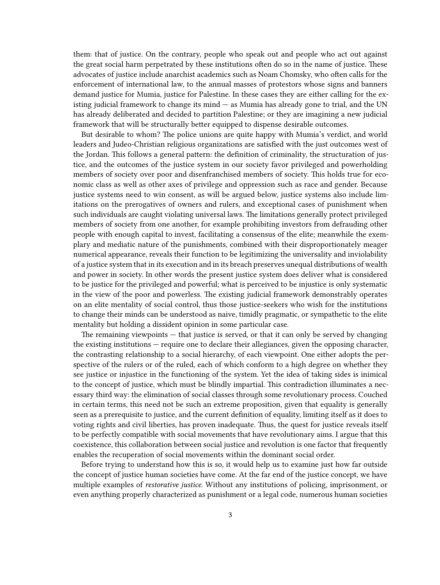them: that of justice. On the contrary, people who speak out and people who act out against the great social harm perpetrated by these institutions often do so in the name of justice. These advocates of justice include anarchist academics such as Noam Chomsky, who often calls for the enforcement of international law, to the annual masses of protestors whose signs and banners demand justice for Mumia, justice for Palestine. In these cases they are either calling for the existing judicial framework to change its mind — as Mumia has already gone to trial, and the UN has already deliberated and decided to partition Palestine; or they are imagining a new judicial framework that will be structurally better equipped to dispense desirable outcomes.

But desirable to whom? The police unions are quite happy with Mumia's verdict, and world leaders and Judeo-Christian religious organizations are satisfied with the just outcomes west of the Jordan. This follows a general pattern: the definition of criminality, the structuration of justice, and the outcomes of the justice system in our society favor privileged and powerholding members of society over poor and disenfranchised members of society. This holds true for economic class as well as other axes of privilege and oppression such as race and gender. Because justice systems need to win consent, as will be argued below, justice systems also include limitations on the prerogatives of owners and rulers, and exceptional cases of punishment when such individuals are caught violating universal laws. The limitations generally protect privileged members of society from one another, for example prohibiting investors from defrauding other people with enough capital to invest, facilitating a consensus of the elite; meanwhile the exemplary and mediatic nature of the punishments, combined with their disproportionately meager numerical appearance, reveals their function to be legitimizing the universality and inviolability of a justice system that in its execution and in its breach preserves unequal distributions of wealth and power in society. In other words the present justice system does deliver what is considered to be justice for the privileged and powerful; what is perceived to be injustice is only systematic in the view of the poor and powerless. The existing judicial framework demonstrably operates on an elite mentality of social control, thus those justice-seekers who wish for the institutions to change their minds can be understood as naive, timidly pragmatic, or sympathetic to the elite mentality but holding a dissident opinion in some particular case.

The remaining viewpoints — that justice is served, or that it can only be served by changing the existing institutions — require one to declare their allegiances, given the opposing character, the contrasting relationship to a social hierarchy, of each viewpoint. One either adopts the perspective of the rulers or of the ruled, each of which conform to a high degree on whether they see justice or injustice in the functioning of the system. Yet the idea of taking sides is inimical to the concept of justice, which must be blindly impartial. This contradiction illuminates a necessary third way: the elimination of social classes through some revolutionary process. Couched in certain terms, this need not be such an extreme proposition, given that equality is generally seen as a prerequisite to justice, and the current definition of equality, limiting itself as it does to voting rights and civil liberties, has proven inadequate. Thus, the quest for justice reveals itself to be perfectly compatible with social movements that have revolutionary aims. I argue that this coexistence, this collaboration between social justice and revolution is one factor that frequently enables the recuperation of social movements within the dominant social order.

Before trying to understand how this is so, it would help us to examine just how far outside the concept of justice human societies have come. At the far end of the justice concept, we have multiple examples of *restorative justice.* Without any institutions of policing, imprisonment, or even anything properly characterized as punishment or a legal code, numerous human societies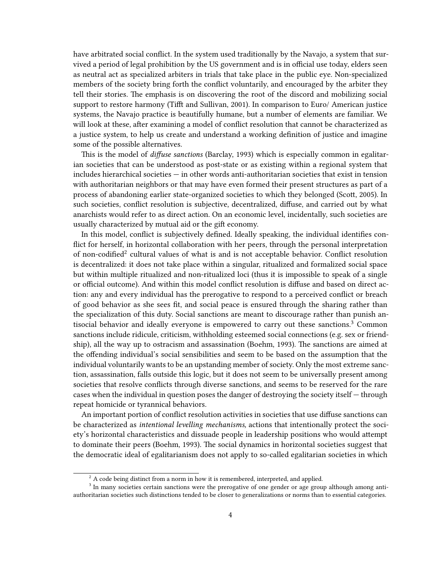have arbitrated social conflict. In the system used traditionally by the Navajo, a system that survived a period of legal prohibition by the US government and is in official use today, elders seen as neutral act as specialized arbiters in trials that take place in the public eye. Non-specialized members of the society bring forth the conflict voluntarily, and encouraged by the arbiter they tell their stories. The emphasis is on discovering the root of the discord and mobilizing social support to restore harmony (Tifft and Sullivan, 2001). In comparison to Euro/ American justice systems, the Navajo practice is beautifully humane, but a number of elements are familiar. We will look at these, after examining a model of conflict resolution that cannot be characterized as a justice system, to help us create and understand a working definition of justice and imagine some of the possible alternatives.

This is the model of *diffuse sanctions* (Barclay, 1993) which is especially common in egalitarian societies that can be understood as post-state or as existing within a regional system that includes hierarchical societies — in other words anti-authoritarian societies that exist in tension with authoritarian neighbors or that may have even formed their present structures as part of a process of abandoning earlier state-organized societies to which they belonged (Scott, 2005). In such societies, conflict resolution is subjective, decentralized, diffuse, and carried out by what anarchists would refer to as direct action. On an economic level, incidentally, such societies are usually characterized by mutual aid or the gift economy.

In this model, conflict is subjectively defined. Ideally speaking, the individual identifies conflict for herself, in horizontal collaboration with her peers, through the personal interpretation of non-codified<sup>2</sup> cultural values of what is and is not acceptable behavior. Conflict resolution is decentralized: it does not take place within a singular, ritualized and formalized social space but within multiple ritualized and non-ritualized loci (thus it is impossible to speak of a single or official outcome). And within this model conflict resolution is diffuse and based on direct action: any and every individual has the prerogative to respond to a perceived conflict or breach of good behavior as she sees fit, and social peace is ensured through the sharing rather than the specialization of this duty. Social sanctions are meant to discourage rather than punish antisocial behavior and ideally everyone is empowered to carry out these sanctions.<sup>3</sup> Common sanctions include ridicule, criticism, withholding esteemed social connections (e.g. sex or friendship), all the way up to ostracism and assassination (Boehm, 1993). The sanctions are aimed at the offending individual's social sensibilities and seem to be based on the assumption that the individual voluntarily wants to be an upstanding member of society. Only the most extreme sanction, assassination, falls outside this logic, but it does not seem to be universally present among societies that resolve conflicts through diverse sanctions, and seems to be reserved for the rare cases when the individual in question poses the danger of destroying the society itself — through repeat homicide or tyrannical behaviors.

An important portion of conflict resolution activities in societies that use diffuse sanctions can be characterized as *intentional levelling mechanisms,* actions that intentionally protect the society's horizontal characteristics and dissuade people in leadership positions who would attempt to dominate their peers (Boehm, 1993). The social dynamics in horizontal societies suggest that the democratic ideal of egalitarianism does not apply to so-called egalitarian societies in which

 $2A$  code being distinct from a norm in how it is remembered, interpreted, and applied.

<sup>&</sup>lt;sup>3</sup> In many societies certain sanctions were the prerogative of one gender or age group although among antiauthoritarian societies such distinctions tended to be closer to generalizations or norms than to essential categories.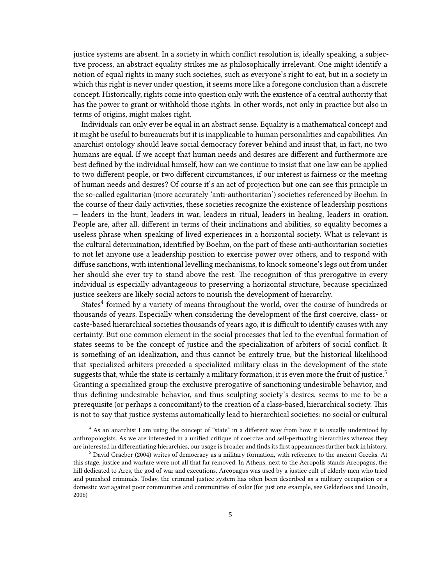justice systems are absent. In a society in which conflict resolution is, ideally speaking, a subjective process, an abstract equality strikes me as philosophically irrelevant. One might identify a notion of equal rights in many such societies, such as everyone's right to eat, but in a society in which this right is never under question, it seems more like a foregone conclusion than a discrete concept. Historically, rights come into question only with the existence of a central authority that has the power to grant or withhold those rights. In other words, not only in practice but also in terms of origins, might makes right.

Individuals can only ever be equal in an abstract sense. Equality is a mathematical concept and it might be useful to bureaucrats but it is inapplicable to human personalities and capabilities. An anarchist ontology should leave social democracy forever behind and insist that, in fact, no two humans are equal. If we accept that human needs and desires are different and furthermore are best defined by the individual himself, how can we continue to insist that one law can be applied to two different people, or two different circumstances, if our interest is fairness or the meeting of human needs and desires? Of course it's an act of projection but one can see this principle in the so-called egalitarian (more accurately 'anti-authoritarian') societies referenced by Boehm. In the course of their daily activities, these societies recognize the existence of leadership positions — leaders in the hunt, leaders in war, leaders in ritual, leaders in healing, leaders in oration. People are, after all, different in terms of their inclinations and abilities, so equality becomes a useless phrase when speaking of lived experiences in a horizontal society. What is relevant is the cultural determination, identified by Boehm, on the part of these anti-authoritarian societies to not let anyone use a leadership position to exercise power over others, and to respond with diffuse sanctions, with intentional levelling mechanisms, to knock someone's legs out from under her should she ever try to stand above the rest. The recognition of this prerogative in every individual is especially advantageous to preserving a horizontal structure, because specialized justice seekers are likely social actors to nourish the development of hierarchy.

States<sup>4</sup> formed by a variety of means throughout the world, over the course of hundreds or thousands of years. Especially when considering the development of the first coercive, class- or caste-based hierarchical societies thousands of years ago, it is difficult to identify causes with any certainty. But one common element in the social processes that led to the eventual formation of states seems to be the concept of justice and the specialization of arbiters of social conflict. It is something of an idealization, and thus cannot be entirely true, but the historical likelihood that specialized arbiters preceded a specialized military class in the development of the state suggests that, while the state is certainly a military formation, it is even more the fruit of justice.<sup>5</sup> Granting a specialized group the exclusive prerogative of sanctioning undesirable behavior, and thus defining undesirable behavior, and thus sculpting society's desires, seems to me to be a prerequisite (or perhaps a concomitant) to the creation of a class-based, hierarchical society. This is not to say that justice systems automatically lead to hierarchical societies: no social or cultural

<sup>4</sup> As an anarchist I am using the concept of "state" in a different way from how it is usually understood by anthropologists. As we are interested in a unified critique of coercive and self-pertuating hierarchies whereas they are interested in differentiating hierarchies, our usage is broader and finds its first appearances further back in history.

<sup>5</sup> David Graeber (2004) writes of democracy as a military formation, with reference to the ancient Greeks. At this stage, justice and warfare were not all that far removed. In Athens, next to the Acropolis stands Areopagus, the hill dedicated to Ares, the god of war and executions. Areopagus was used by a justice cult of elderly men who tried and punished criminals. Today, the criminal justice system has often been described as a military occupation or a domestic war against poor communities and communities of color (for just one example, see Gelderloos and Lincoln, 2006)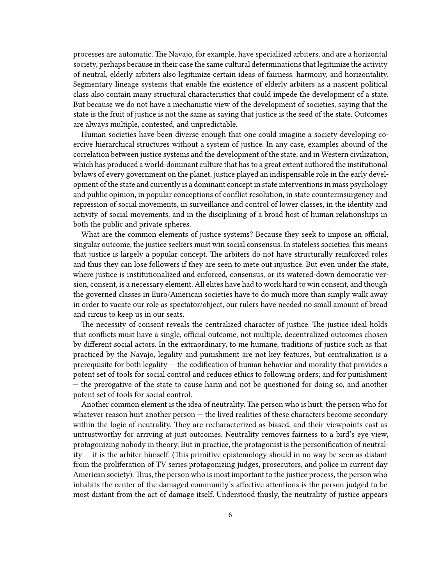processes are automatic. The Navajo, for example, have specialized arbiters, and are a horizontal society, perhaps because in their case the same cultural determinations that legitimize the activity of neutral, elderly arbiters also legitimize certain ideas of fairness, harmony, and horizontality. Segmentary lineage systems that enable the existence of elderly arbiters as a nascent political class also contain many structural characteristics that could impede the development of a state. But because we do not have a mechanistic view of the development of societies, saying that the state is the fruit of justice is not the same as saying that justice is the seed of the state. Outcomes are always multiple, contested, and unpredictable.

Human societies have been diverse enough that one could imagine a society developing coercive hierarchical structures without a system of justice. In any case, examples abound of the correlation between justice systems and the development of the state, and in Western civilization, which has produced a world-dominant culture that has to a great extent authored the institutional bylaws of every government on the planet, justice played an indispensable role in the early development of the state and currently is a dominant concept in state interventions in mass psychology and public opinion, in popular conceptions of conflict resolution, in state counterinsurgency and repression of social movements, in surveillance and control of lower classes, in the identity and activity of social movements, and in the disciplining of a broad host of human relationships in both the public and private spheres.

What are the common elements of justice systems? Because they seek to impose an official, singular outcome, the justice seekers must win social consensus. In stateless societies, this means that justice is largely a popular concept. The arbiters do not have structurally reinforced roles and thus they can lose followers if they are seen to mete out injustice. But even under the state, where justice is institutionalized and enforced, consensus, or its watered-down democratic version, consent, is a necessary element. All elites have had to work hard to win consent, and though the governed classes in Euro/American societies have to do much more than simply walk away in order to vacate our role as spectator/object, our rulers have needed no small amount of bread and circus to keep us in our seats.

The necessity of consent reveals the centralized character of justice. The justice ideal holds that conflicts must have a single, official outcome, not multiple, decentralized outcomes chosen by different social actors. In the extraordinary, to me humane, traditions of justice such as that practiced by the Navajo, legality and punishment are not key features, but centralization is a prerequisite for both legality — the codification of human behavior and morality that provides a potent set of tools for social control and reduces ethics to following orders; and for punishment — the prerogative of the state to cause harm and not be questioned for doing so, and another potent set of tools for social control.

Another common element is the idea of neutrality. The person who is hurt, the person who for whatever reason hurt another person - the lived realities of these characters become secondary within the logic of neutrality. They are recharacterized as biased, and their viewpoints cast as untrustworthy for arriving at just outcomes. Neutrality removes fairness to a bird's eye view, protagonizing nobody in theory. But in practice, the protagonist is the personification of neutrality — it is the arbiter himself. (This primitive epistemology should in no way be seen as distant from the proliferation of TV series protagonizing judges, prosecutors, and police in current day American society). Thus, the person who is most important to the justice process, the person who inhabits the center of the damaged community's affective attentions is the person judged to be most distant from the act of damage itself. Understood thusly, the neutrality of justice appears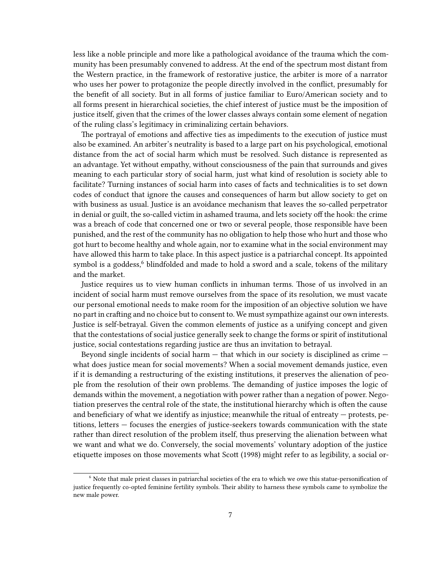less like a noble principle and more like a pathological avoidance of the trauma which the community has been presumably convened to address. At the end of the spectrum most distant from the Western practice, in the framework of restorative justice, the arbiter is more of a narrator who uses her power to protagonize the people directly involved in the conflict, presumably for the benefit of all society. But in all forms of justice familiar to Euro/American society and to all forms present in hierarchical societies, the chief interest of justice must be the imposition of justice itself, given that the crimes of the lower classes always contain some element of negation of the ruling class's legitimacy in criminalizing certain behaviors.

The portrayal of emotions and affective ties as impediments to the execution of justice must also be examined. An arbiter's neutrality is based to a large part on his psychological, emotional distance from the act of social harm which must be resolved. Such distance is represented as an advantage. Yet without empathy, without consciousness of the pain that surrounds and gives meaning to each particular story of social harm, just what kind of resolution is society able to facilitate? Turning instances of social harm into cases of facts and technicalities is to set down codes of conduct that ignore the causes and consequences of harm but allow society to get on with business as usual. Justice is an avoidance mechanism that leaves the so-called perpetrator in denial or guilt, the so-called victim in ashamed trauma, and lets society off the hook: the crime was a breach of code that concerned one or two or several people, those responsible have been punished, and the rest of the community has no obligation to help those who hurt and those who got hurt to become healthy and whole again, nor to examine what in the social environment may have allowed this harm to take place. In this aspect justice is a patriarchal concept. Its appointed symbol is a goddess, $6$  blindfolded and made to hold a sword and a scale, tokens of the military and the market.

Justice requires us to view human conflicts in inhuman terms. Those of us involved in an incident of social harm must remove ourselves from the space of its resolution, we must vacate our personal emotional needs to make room for the imposition of an objective solution we have no part in crafting and no choice but to consent to. We must sympathize against our own interests. Justice is self-betrayal. Given the common elements of justice as a unifying concept and given that the contestations of social justice generally seek to change the forms or spirit of institutional justice, social contestations regarding justice are thus an invitation to betrayal.

Beyond single incidents of social harm — that which in our society is disciplined as crime what does justice mean for social movements? When a social movement demands justice, even if it is demanding a restructuring of the existing institutions, it preserves the alienation of people from the resolution of their own problems. The demanding of justice imposes the logic of demands within the movement, a negotiation with power rather than a negation of power. Negotiation preserves the central role of the state, the institutional hierarchy which is often the cause and beneficiary of what we identify as injustice; meanwhile the ritual of entreaty — protests, petitions, letters — focuses the energies of justice-seekers towards communication with the state rather than direct resolution of the problem itself, thus preserving the alienation between what we want and what we do. Conversely, the social movements' voluntary adoption of the justice etiquette imposes on those movements what Scott (1998) might refer to as legibility, a social or-

<sup>6</sup> Note that male priest classes in patriarchal societies of the era to which we owe this statue-personification of justice frequently co-opted feminine fertility symbols. Their ability to harness these symbols came to symbolize the new male power.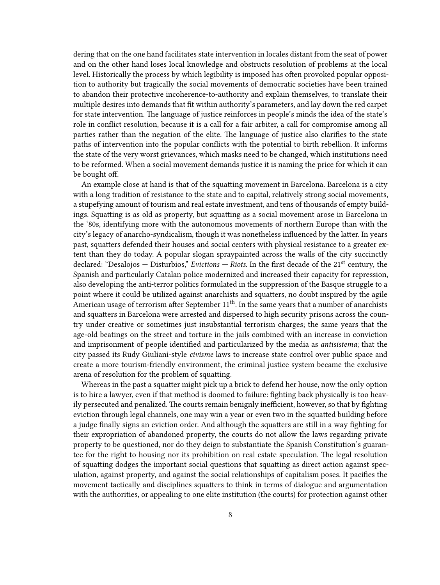dering that on the one hand facilitates state intervention in locales distant from the seat of power and on the other hand loses local knowledge and obstructs resolution of problems at the local level. Historically the process by which legibility is imposed has often provoked popular opposition to authority but tragically the social movements of democratic societies have been trained to abandon their protective incoherence-to-authority and explain themselves, to translate their multiple desires into demands that fit within authority's parameters, and lay down the red carpet for state intervention. The language of justice reinforces in people's minds the idea of the state's role in conflict resolution, because it is a call for a fair arbiter, a call for compromise among all parties rather than the negation of the elite. The language of justice also clarifies to the state paths of intervention into the popular conflicts with the potential to birth rebellion. It informs the state of the very worst grievances, which masks need to be changed, which institutions need to be reformed. When a social movement demands justice it is naming the price for which it can be bought off.

An example close at hand is that of the squatting movement in Barcelona. Barcelona is a city with a long tradition of resistance to the state and to capital, relatively strong social movements, a stupefying amount of tourism and real estate investment, and tens of thousands of empty buildings. Squatting is as old as property, but squatting as a social movement arose in Barcelona in the '80s, identifying more with the autonomous movements of northern Europe than with the city's legacy of anarcho-syndicalism, though it was nonetheless influenced by the latter. In years past, squatters defended their houses and social centers with physical resistance to a greater extent than they do today. A popular slogan spraypainted across the walls of the city succinctly declared: "Desalojos — Disturbios," *Evictions — Riots.* In the first decade of the 21st century, the Spanish and particularly Catalan police modernized and increased their capacity for repression, also developing the anti-terror politics formulated in the suppression of the Basque struggle to a point where it could be utilized against anarchists and squatters, no doubt inspired by the agile American usage of terrorism after September  $11<sup>th</sup>$ . In the same years that a number of anarchists and squatters in Barcelona were arrested and dispersed to high security prisons across the country under creative or sometimes just insubstantial terrorism charges; the same years that the age-old beatings on the street and torture in the jails combined with an increase in conviction and imprisonment of people identified and particularized by the media as *antisistema*; that the city passed its Rudy Giuliani-style *civisme* laws to increase state control over public space and create a more tourism-friendly environment, the criminal justice system became the exclusive arena of resolution for the problem of squatting.

Whereas in the past a squatter might pick up a brick to defend her house, now the only option is to hire a lawyer, even if that method is doomed to failure: fighting back physically is too heavily persecuted and penalized. The courts remain benignly inefficient, however, so that by fighting eviction through legal channels, one may win a year or even two in the squatted building before a judge finally signs an eviction order. And although the squatters are still in a way fighting for their expropriation of abandoned property, the courts do not allow the laws regarding private property to be questioned, nor do they deign to substantiate the Spanish Constitution's guarantee for the right to housing nor its prohibition on real estate speculation. The legal resolution of squatting dodges the important social questions that squatting as direct action against speculation, against property, and against the social relationships of capitalism poses. It pacifies the movement tactically and disciplines squatters to think in terms of dialogue and argumentation with the authorities, or appealing to one elite institution (the courts) for protection against other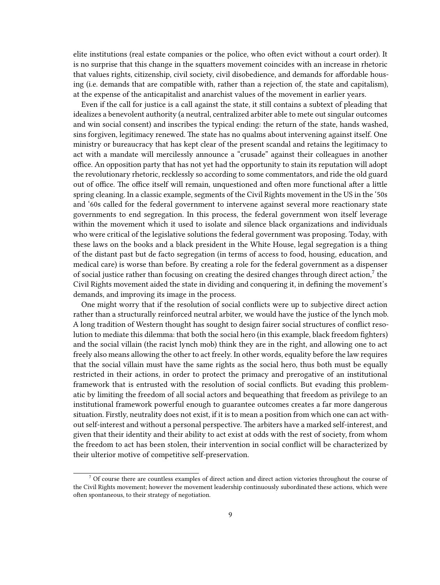elite institutions (real estate companies or the police, who often evict without a court order). It is no surprise that this change in the squatters movement coincides with an increase in rhetoric that values rights, citizenship, civil society, civil disobedience, and demands for affordable housing (i.e. demands that are compatible with, rather than a rejection of, the state and capitalism), at the expense of the anticapitalist and anarchist values of the movement in earlier years.

Even if the call for justice is a call against the state, it still contains a subtext of pleading that idealizes a benevolent authority (a neutral, centralized arbiter able to mete out singular outcomes and win social consent) and inscribes the typical ending: the return of the state, hands washed, sins forgiven, legitimacy renewed. The state has no qualms about intervening against itself. One ministry or bureaucracy that has kept clear of the present scandal and retains the legitimacy to act with a mandate will mercilessly announce a "crusade" against their colleagues in another office. An opposition party that has not yet had the opportunity to stain its reputation will adopt the revolutionary rhetoric, recklessly so according to some commentators, and ride the old guard out of office. The office itself will remain, unquestioned and often more functional after a little spring cleaning. In a classic example, segments of the Civil Rights movement in the US in the '50s and '60s called for the federal government to intervene against several more reactionary state governments to end segregation. In this process, the federal government won itself leverage within the movement which it used to isolate and silence black organizations and individuals who were critical of the legislative solutions the federal government was proposing. Today, with these laws on the books and a black president in the White House, legal segregation is a thing of the distant past but de facto segregation (in terms of access to food, housing, education, and medical care) is worse than before. By creating a role for the federal government as a dispenser of social justice rather than focusing on creating the desired changes through direct action,<sup>7</sup> the Civil Rights movement aided the state in dividing and conquering it, in defining the movement's demands, and improving its image in the process.

One might worry that if the resolution of social conflicts were up to subjective direct action rather than a structurally reinforced neutral arbiter, we would have the justice of the lynch mob. A long tradition of Western thought has sought to design fairer social structures of conflict resolution to mediate this dilemma: that both the social hero (in this example, black freedom fighters) and the social villain (the racist lynch mob) think they are in the right, and allowing one to act freely also means allowing the other to act freely. In other words, equality before the law requires that the social villain must have the same rights as the social hero, thus both must be equally restricted in their actions, in order to protect the primacy and prerogative of an institutional framework that is entrusted with the resolution of social conflicts. But evading this problematic by limiting the freedom of all social actors and bequeathing that freedom as privilege to an institutional framework powerful enough to guarantee outcomes creates a far more dangerous situation. Firstly, neutrality does not exist, if it is to mean a position from which one can act without self-interest and without a personal perspective. The arbiters have a marked self-interest, and given that their identity and their ability to act exist at odds with the rest of society, from whom the freedom to act has been stolen, their intervention in social conflict will be characterized by their ulterior motive of competitive self-preservation.

<sup>7</sup> Of course there are countless examples of direct action and direct action victories throughout the course of the Civil Rights movement; however the movement leadership continuously subordinated these actions, which were often spontaneous, to their strategy of negotiation.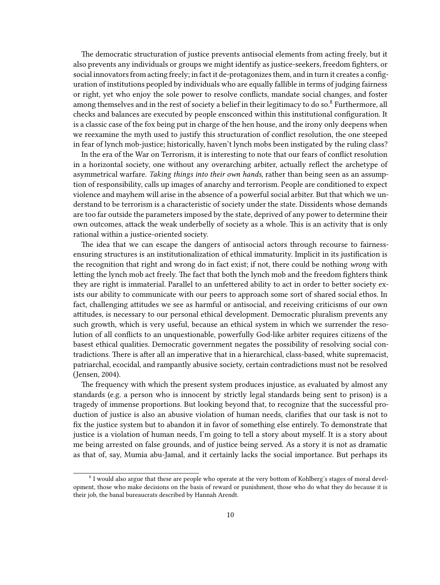The democratic structuration of justice prevents antisocial elements from acting freely, but it also prevents any individuals or groups we might identify as justice-seekers, freedom fighters, or social innovators from acting freely; in fact it de-protagonizes them, and in turn it creates a configuration of institutions peopled by individuals who are equally fallible in terms of judging fairness or right, yet who enjoy the sole power to resolve conflicts, mandate social changes, and foster among themselves and in the rest of society a belief in their legitimacy to do so.<sup>8</sup> Furthermore, all checks and balances are executed by people ensconced within this institutional configuration. It is a classic case of the fox being put in charge of the hen house, and the irony only deepens when we reexamine the myth used to justify this structuration of conflict resolution, the one steeped in fear of lynch mob-justice; historically, haven't lynch mobs been instigated by the ruling class?

In the era of the War on Terrorism, it is interesting to note that our fears of conflict resolution in a horizontal society, one without any overarching arbiter, actually reflect the archetype of asymmetrical warfare. *Taking things into their own hands,* rather than being seen as an assumption of responsibility, calls up images of anarchy and terrorism. People are conditioned to expect violence and mayhem will arise in the absence of a powerful social arbiter. But that which we understand to be terrorism is a characteristic of society under the state. Dissidents whose demands are too far outside the parameters imposed by the state, deprived of any power to determine their own outcomes, attack the weak underbelly of society as a whole. This is an activity that is only rational within a justice-oriented society.

The idea that we can escape the dangers of antisocial actors through recourse to fairnessensuring structures is an institutionalization of ethical immaturity. Implicit in its justification is the recognition that right and wrong do in fact exist; if not, there could be nothing *wrong* with letting the lynch mob act freely. The fact that both the lynch mob and the freedom fighters think they are right is immaterial. Parallel to an unfettered ability to act in order to better society exists our ability to communicate with our peers to approach some sort of shared social ethos. In fact, challenging attitudes we see as harmful or antisocial, and receiving criticisms of our own attitudes, is necessary to our personal ethical development. Democratic pluralism prevents any such growth, which is very useful, because an ethical system in which we surrender the resolution of all conflicts to an unquestionable, powerfully God-like arbiter requires citizens of the basest ethical qualities. Democratic government negates the possibility of resolving social contradictions. There is after all an imperative that in a hierarchical, class-based, white supremacist, patriarchal, ecocidal, and rampantly abusive society, certain contradictions must not be resolved (Jensen, 2004).

The frequency with which the present system produces injustice, as evaluated by almost any standards (e.g. a person who is innocent by strictly legal standards being sent to prison) is a tragedy of immense proportions. But looking beyond that, to recognize that the successful production of justice is also an abusive violation of human needs, clarifies that our task is not to fix the justice system but to abandon it in favor of something else entirely. To demonstrate that justice is a violation of human needs, I'm going to tell a story about myself. It is a story about me being arrested on false grounds, and of justice being served. As a story it is not as dramatic as that of, say, Mumia abu-Jamal, and it certainly lacks the social importance. But perhaps its

<sup>&</sup>lt;sup>8</sup> I would also argue that these are people who operate at the very bottom of Kohlberg's stages of moral development, those who make decisions on the basis of reward or punishment, those who do what they do because it is their job, the banal bureaucrats described by Hannah Arendt.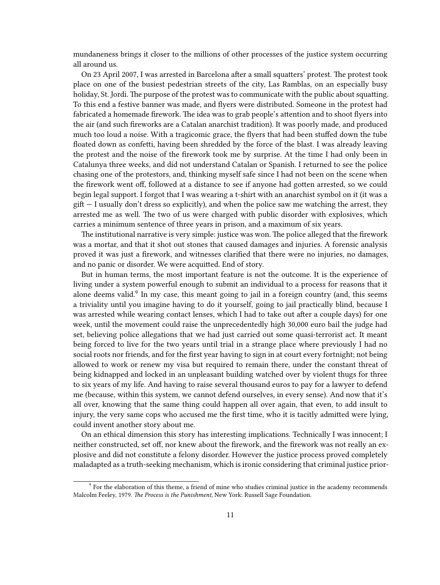mundaneness brings it closer to the millions of other processes of the justice system occurring all around us.

On 23 April 2007, I was arrested in Barcelona after a small squatters' protest. The protest took place on one of the busiest pedestrian streets of the city, Las Ramblas, on an especially busy holiday, St. Jordi. The purpose of the protest was to communicate with the public about squatting. To this end a festive banner was made, and flyers were distributed. Someone in the protest had fabricated a homemade firework. The idea was to grab people's attention and to shoot flyers into the air (and such fireworks are a Catalan anarchist tradition). It was poorly made, and produced much too loud a noise. With a tragicomic grace, the flyers that had been stuffed down the tube floated down as confetti, having been shredded by the force of the blast. I was already leaving the protest and the noise of the firework took me by surprise. At the time I had only been in Catalunya three weeks, and did not understand Catalan or Spanish. I returned to see the police chasing one of the protestors, and, thinking myself safe since I had not been on the scene when the firework went off, followed at a distance to see if anyone had gotten arrested, so we could begin legal support. I forgot that I was wearing a t-shirt with an anarchist symbol on it (it was a  $g$ ift  $-$  I usually don't dress so explicitly), and when the police saw me watching the arrest, they arrested me as well. The two of us were charged with public disorder with explosives, which carries a minimum sentence of three years in prison, and a maximum of six years.

The institutional narrative is very simple: justice was won. The police alleged that the firework was a mortar, and that it shot out stones that caused damages and injuries. A forensic analysis proved it was just a firework, and witnesses clarified that there were no injuries, no damages, and no panic or disorder. We were acquitted. End of story.

But in human terms, the most important feature is not the outcome. It is the experience of living under a system powerful enough to submit an individual to a process for reasons that it alone deems valid.<sup>9</sup> In my case, this meant going to jail in a foreign country (and, this seems a triviality until you imagine having to do it yourself, going to jail practically blind, because I was arrested while wearing contact lenses, which I had to take out after a couple days) for one week, until the movement could raise the unprecedentedly high 30,000 euro bail the judge had set, believing police allegations that we had just carried out some quasi-terrorist act. It meant being forced to live for the two years until trial in a strange place where previously I had no social roots nor friends, and for the first year having to sign in at court every fortnight; not being allowed to work or renew my visa but required to remain there, under the constant threat of being kidnapped and locked in an unpleasant building watched over by violent thugs for three to six years of my life. And having to raise several thousand euros to pay for a lawyer to defend me (because, within this system, we cannot defend ourselves, in every sense). And now that it's all over, knowing that the same thing could happen all over again, that even, to add insult to injury, the very same cops who accused me the first time, who it is tacitly admitted were lying, could invent another story about me.

On an ethical dimension this story has interesting implications. Technically I was innocent; I neither constructed, set off, nor knew about the firework, and the firework was not really an explosive and did not constitute a felony disorder. However the justice process proved completely maladapted as a truth-seeking mechanism, which is ironic considering that criminal justice prior-

<sup>&</sup>lt;sup>9</sup> For the elaboration of this theme, a friend of mine who studies criminal justice in the academy recommends Malcolm Feeley, 1979. *The Process is the Punishment,* New York: Russell Sage Foundation.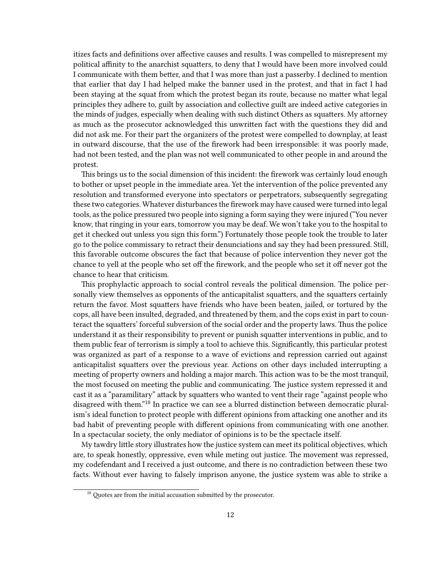itizes facts and definitions over affective causes and results. I was compelled to misrepresent my political affinity to the anarchist squatters, to deny that I would have been more involved could I communicate with them better, and that I was more than just a passerby. I declined to mention that earlier that day I had helped make the banner used in the protest, and that in fact I had been staying at the squat from which the protest began its route, because no matter what legal principles they adhere to, guilt by association and collective guilt are indeed active categories in the minds of judges, especially when dealing with such distinct Others as squatters. My attorney as much as the prosecutor acknowledged this unwritten fact with the questions they did and did not ask me. For their part the organizers of the protest were compelled to downplay, at least in outward discourse, that the use of the firework had been irresponsible: it was poorly made, had not been tested, and the plan was not well communicated to other people in and around the protest.

This brings us to the social dimension of this incident: the firework was certainly loud enough to bother or upset people in the immediate area. Yet the intervention of the police prevented any resolution and transformed everyone into spectators or perpetrators, subsequently segregating these two categories. Whatever disturbances the firework may have caused were turned into legal tools, as the police pressured two people into signing a form saying they were injured ("You never know, that ringing in your ears, tomorrow you may be deaf. We won't take you to the hospital to get it checked out unless you sign this form.") Fortunately those people took the trouble to later go to the police commissary to retract their denunciations and say they had been pressured. Still, this favorable outcome obscures the fact that because of police intervention they never got the chance to yell at the people who set off the firework, and the people who set it off never got the chance to hear that criticism.

This prophylactic approach to social control reveals the political dimension. The police personally view themselves as opponents of the anticapitalist squatters, and the squatters certainly return the favor. Most squatters have friends who have been beaten, jailed, or tortured by the cops, all have been insulted, degraded, and threatened by them, and the cops exist in part to counteract the squatters' forceful subversion of the social order and the property laws. Thus the police understand it as their responsibility to prevent or punish squatter interventions in public, and to them public fear of terrorism is simply a tool to achieve this. Significantly, this particular protest was organized as part of a response to a wave of evictions and repression carried out against anticapitalist squatters over the previous year. Actions on other days included interrupting a meeting of property owners and holding a major march. This action was to be the most tranquil, the most focused on meeting the public and communicating. The justice system repressed it and cast it as a "paramilitary" attack by squatters who wanted to vent their rage "against people who disagreed with them."<sup>10</sup> In practice we can see a blurred distinction between democratic pluralism's ideal function to protect people with different opinions from attacking one another and its bad habit of preventing people with different opinions from communicating with one another. In a spectacular society, the only mediator of opinions is to be the spectacle itself.

My tawdry little story illustrates how the justice system can meet its political objectives, which are, to speak honestly, oppressive, even while meting out justice. The movement was repressed, my codefendant and I received a just outcome, and there is no contradiction between these two facts. Without ever having to falsely imprison anyone, the justice system was able to strike a

 $10$  Quotes are from the initial accusation submitted by the prosecutor.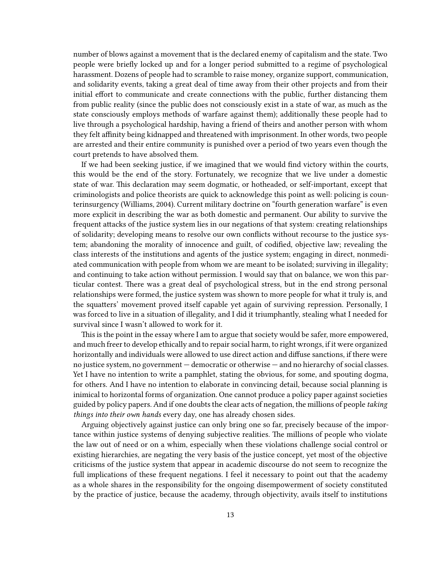number of blows against a movement that is the declared enemy of capitalism and the state. Two people were briefly locked up and for a longer period submitted to a regime of psychological harassment. Dozens of people had to scramble to raise money, organize support, communication, and solidarity events, taking a great deal of time away from their other projects and from their initial effort to communicate and create connections with the public, further distancing them from public reality (since the public does not consciously exist in a state of war, as much as the state consciously employs methods of warfare against them); additionally these people had to live through a psychological hardship, having a friend of theirs and another person with whom they felt affinity being kidnapped and threatened with imprisonment. In other words, two people are arrested and their entire community is punished over a period of two years even though the court pretends to have absolved them.

If we had been seeking justice, if we imagined that we would find victory within the courts, this would be the end of the story. Fortunately, we recognize that we live under a domestic state of war. This declaration may seem dogmatic, or hotheaded, or self-important, except that criminologists and police theorists are quick to acknowledge this point as well: policing is counterinsurgency (Williams, 2004). Current military doctrine on "fourth generation warfare" is even more explicit in describing the war as both domestic and permanent. Our ability to survive the frequent attacks of the justice system lies in our negations of that system: creating relationships of solidarity; developing means to resolve our own conflicts without recourse to the justice system; abandoning the morality of innocence and guilt, of codified, objective law; revealing the class interests of the institutions and agents of the justice system; engaging in direct, nonmediated communication with people from whom we are meant to be isolated; surviving in illegality; and continuing to take action without permission. I would say that on balance, we won this particular contest. There was a great deal of psychological stress, but in the end strong personal relationships were formed, the justice system was shown to more people for what it truly is, and the squatters' movement proved itself capable yet again of surviving repression. Personally, I was forced to live in a situation of illegality, and I did it triumphantly, stealing what I needed for survival since I wasn't allowed to work for it.

This is the point in the essay where I am to argue that society would be safer, more empowered, and much freer to develop ethically and to repair social harm, to right wrongs, if it were organized horizontally and individuals were allowed to use direct action and diffuse sanctions, if there were no justice system, no government — democratic or otherwise — and no hierarchy of social classes. Yet I have no intention to write a pamphlet, stating the obvious, for some, and spouting dogma, for others. And I have no intention to elaborate in convincing detail, because social planning is inimical to horizontal forms of organization. One cannot produce a policy paper against societies guided by policy papers. And if one doubts the clear acts of negation, the millions of people *taking things into their own hands* every day, one has already chosen sides.

Arguing objectively against justice can only bring one so far, precisely because of the importance within justice systems of denying subjective realities. The millions of people who violate the law out of need or on a whim, especially when these violations challenge social control or existing hierarchies, are negating the very basis of the justice concept, yet most of the objective criticisms of the justice system that appear in academic discourse do not seem to recognize the full implications of these frequent negations. I feel it necessary to point out that the academy as a whole shares in the responsibility for the ongoing disempowerment of society constituted by the practice of justice, because the academy, through objectivity, avails itself to institutions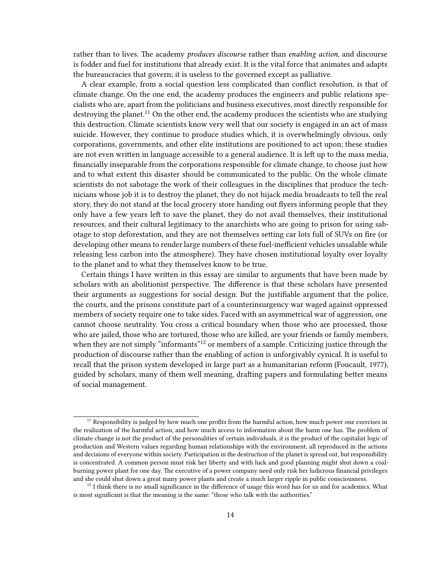rather than to lives. The academy *produces discourse* rather than *enabling action*, and discourse is fodder and fuel for institutions that already exist. It is the vital force that animates and adapts the bureaucracies that govern; it is useless to the governed except as palliative.

A clear example, from a social question less complicated than conflict resolution, is that of climate change. On the one end, the academy produces the engineers and public relations specialists who are, apart from the politicians and business executives, most directly responsible for destroying the planet.<sup>11</sup> On the other end, the academy produces the scientists who are studying this destruction. Climate scientists know very well that our society is engaged in an act of mass suicide. However, they continue to produce studies which, it is overwhelmingly obvious, only corporations, governments, and other elite institutions are positioned to act upon; these studies are not even written in language accessible to a general audience. It is left up to the mass media, financially inseparable from the corporations responsible for climate change, to choose just how and to what extent this disaster should be communicated to the public. On the whole climate scientists do not sabotage the work of their colleagues in the disciplines that produce the technicians whose job it is to destroy the planet, they do not hijack media broadcasts to tell the real story, they do not stand at the local grocery store handing out flyers informing people that they only have a few years left to save the planet, they do not avail themselves, their institutional resources, and their cultural legitimacy to the anarchists who are going to prison for using sabotage to stop deforestation, and they are not themselves setting car lots full of SUVs on fire (or developing other means to render large numbers of these fuel-inefficient vehicles unsalable while releasing less carbon into the atmosphere). They have chosen institutional loyalty over loyalty to the planet and to what they themselves know to be true.

Certain things I have written in this essay are similar to arguments that have been made by scholars with an abolitionist perspective. The difference is that these scholars have presented their arguments as suggestions for social design. But the justifiable argument that the police, the courts, and the prisons constitute part of a counterinsurgency war waged against oppressed members of society require one to take sides. Faced with an asymmetrical war of aggression, one cannot choose neutrality. You cross a critical boundary when those who are processed, those who are jailed, those who are tortured, those who are killed, are your friends or family members, when they are not simply "informants"<sup>12</sup> or members of a sample. Criticizing justice through the production of discourse rather than the enabling of action is unforgivably cynical. It is useful to recall that the prison system developed in large part as a humanitarian reform (Foucault, 1977), guided by scholars, many of them well meaning, drafting papers and formulating better means of social management.

 $11$  Responsibility is judged by how much one profits from the harmful action, how much power one exercises in the realization of the harmful action, and how much access to information about the harm one has. The problem of climate change is not the product of the personalities of certain individuals, it is the product of the capitalist logic of production and Western values regarding human relationships with the environment, all reproduced in the actions and decisions of everyone within society. Participation in the destruction of the planet is spread out, but responsibility is concentrated. A common person must risk her liberty and with luck and good planning might shut down a coalburning power plant for one day. The executive of a power company need only risk her ludicrous financial privileges and she could shut down a great many power plants and create a much larger ripple in public consciousness.

 $12$  I think there is no small significance in the difference of usage this word has for us and for academics. What is most significant is that the meaning is the same: "those who talk with the authorities."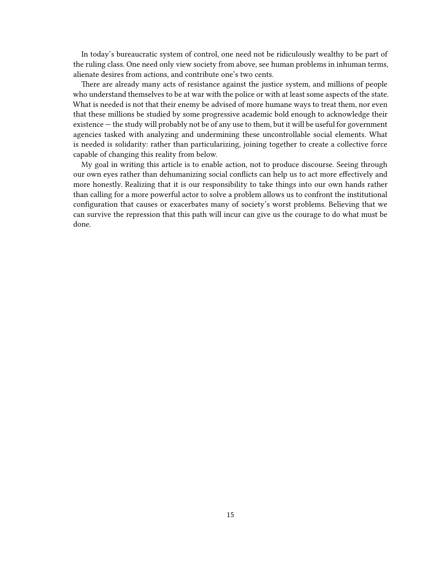In today's bureaucratic system of control, one need not be ridiculously wealthy to be part of the ruling class. One need only view society from above, see human problems in inhuman terms, alienate desires from actions, and contribute one's two cents.

There are already many acts of resistance against the justice system, and millions of people who understand themselves to be at war with the police or with at least some aspects of the state. What is needed is not that their enemy be advised of more humane ways to treat them, nor even that these millions be studied by some progressive academic bold enough to acknowledge their existence — the study will probably not be of any use to them, but it will be useful for government agencies tasked with analyzing and undermining these uncontrollable social elements. What is needed is solidarity: rather than particularizing, joining together to create a collective force capable of changing this reality from below.

My goal in writing this article is to enable action, not to produce discourse. Seeing through our own eyes rather than dehumanizing social conflicts can help us to act more effectively and more honestly. Realizing that it is our responsibility to take things into our own hands rather than calling for a more powerful actor to solve a problem allows us to confront the institutional configuration that causes or exacerbates many of society's worst problems. Believing that we can survive the repression that this path will incur can give us the courage to do what must be done.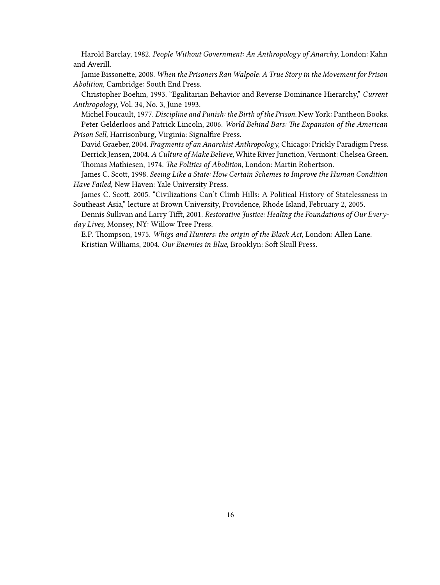Harold Barclay, 1982. *People Without Government: An Anthropology of Anarchy*, London: Kahn and Averill.

Jamie Bissonette, 2008. *When the Prisoners Ran Walpole: A True Story in the Movement for Prison Abolition,* Cambridge: South End Press.

Christopher Boehm, 1993. "Egalitarian Behavior and Reverse Dominance Hierarchy," *Current Anthropology*, Vol. 34, No. 3, June 1993.

Michel Foucault, 1977. *Discipline and Punish: the Birth of the Prison.* New York: Pantheon Books. Peter Gelderloos and Patrick Lincoln, 2006. *World Behind Bars: The Expansion of the American Prison Sell,* Harrisonburg, Virginia: Signalfire Press.

David Graeber, 2004. *Fragments of an Anarchist Anthropology*, Chicago: Prickly Paradigm Press. Derrick Jensen, 2004. *A Culture of Make Believe,* White River Junction, Vermont: Chelsea Green. Thomas Mathiesen, 1974. *The Politics of Abolition,* London: Martin Robertson.

James C. Scott, 1998. *Seeing Like a State: How Certain Schemes to Improve the Human Condition Have Failed,* New Haven: Yale University Press.

James C. Scott, 2005. "Civilizations Can't Climb Hills: A Political History of Statelessness in Southeast Asia," lecture at Brown University, Providence, Rhode Island, February 2, 2005.

Dennis Sullivan and Larry Tifft, 2001. *Restorative Justice: Healing the Foundations of Our Everyday Lives,* Monsey, NY: Willow Tree Press.

E.P. Thompson, 1975. *Whigs and Hunters: the origin of the Black Act,* London: Allen Lane. Kristian Williams, 2004. *Our Enemies in Blue,* Brooklyn: Soft Skull Press.